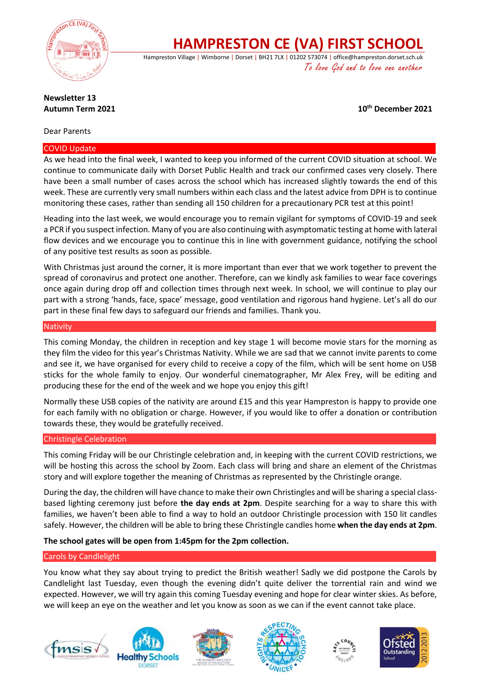

**HAMPRESTON CE (VA) FIRST SCHOOL**

Hampreston Village | Wimborne | Dorset | BH21 7LX | 01202 573074 | office@hampreston.dorset.sch.uk To love God and to love one another

# **Newsletter 13**

**Autumn Term 2021 10th December 2021**

## Dear Parents

## COVID Update

As we head into the final week, I wanted to keep you informed of the current COVID situation at school. We continue to communicate daily with Dorset Public Health and track our confirmed cases very closely. There have been a small number of cases across the school which has increased slightly towards the end of this week. These are currently very small numbers within each class and the latest advice from DPH is to continue monitoring these cases, rather than sending all 150 children for a precautionary PCR test at this point!

Heading into the last week, we would encourage you to remain vigilant for symptoms of COVID-19 and seek a PCR if you suspect infection. Many of you are also continuing with asymptomatic testing at home with lateral flow devices and we encourage you to continue this in line with government guidance, notifying the school of any positive test results as soon as possible.

With Christmas just around the corner, it is more important than ever that we work together to prevent the spread of coronavirus and protect one another. Therefore, can we kindly ask families to wear face coverings once again during drop off and collection times through next week. In school, we will continue to play our part with a strong 'hands, face, space' message, good ventilation and rigorous hand hygiene. Let's all do our part in these final few days to safeguard our friends and families. Thank you.

#### **Nativity**

This coming Monday, the children in reception and key stage 1 will become movie stars for the morning as they film the video for this year's Christmas Nativity. While we are sad that we cannot invite parents to come and see it, we have organised for every child to receive a copy of the film, which will be sent home on USB sticks for the whole family to enjoy. Our wonderful cinematographer, Mr Alex Frey, will be editing and producing these for the end of the week and we hope you enjoy this gift!

Normally these USB copies of the nativity are around £15 and this year Hampreston is happy to provide one for each family with no obligation or charge. However, if you would like to offer a donation or contribution towards these, they would be gratefully received.

## Christingle Celebration

This coming Friday will be our Christingle celebration and, in keeping with the current COVID restrictions, we will be hosting this across the school by Zoom. Each class will bring and share an element of the Christmas story and will explore together the meaning of Christmas as represented by the Christingle orange.

During the day, the children will have chance to make their own Christingles and will be sharing a special classbased lighting ceremony just before **the day ends at 2pm**. Despite searching for a way to share this with families, we haven't been able to find a way to hold an outdoor Christingle procession with 150 lit candles safely. However, the children will be able to bring these Christingle candles home **when the day ends at 2pm**.

## **The school gates will be open from 1:45pm for the 2pm collection.**

## Carols by Candlelight

You know what they say about trying to predict the British weather! Sadly we did postpone the Carols by Candlelight last Tuesday, even though the evening didn't quite deliver the torrential rain and wind we expected. However, we will try again this coming Tuesday evening and hope for clear winter skies. As before, we will keep an eye on the weather and let you know as soon as we can if the event cannot take place.











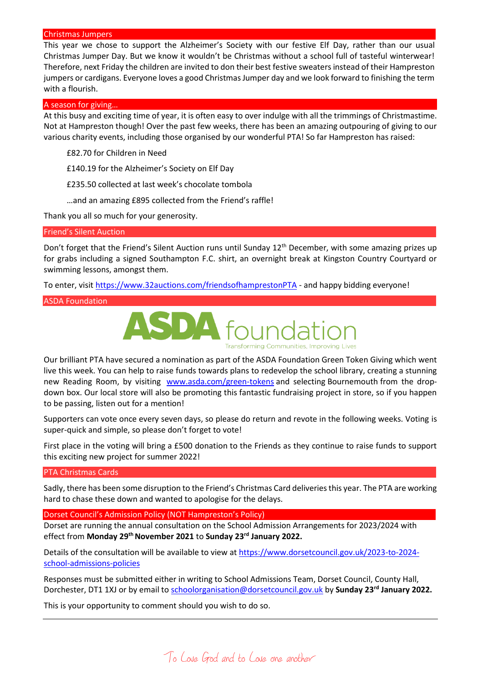#### Christmas Jumpers

This year we chose to support the Alzheimer's Society with our festive Elf Day, rather than our usual Christmas Jumper Day. But we know it wouldn't be Christmas without a school full of tasteful winterwear! Therefore, next Friday the children are invited to don their best festive sweaters instead of their Hampreston jumpers or cardigans. Everyone loves a good Christmas Jumper day and we look forward to finishing the term with a flourish.

#### A season for giving…

At this busy and exciting time of year, it is often easy to over indulge with all the trimmings of Christmastime. Not at Hampreston though! Over the past few weeks, there has been an amazing outpouring of giving to our various charity events, including those organised by our wonderful PTA! So far Hampreston has raised:

£82.70 for Children in Need

£140.19 for the Alzheimer's Society on Elf Day

£235.50 collected at last week's chocolate tombola

…and an amazing £895 collected from the Friend's raffle!

Thank you all so much for your generosity.

#### Friend's Silent Auction

Don't forget that the Friend's Silent Auction runs until Sunday 12<sup>th</sup> December, with some amazing prizes up for grabs including a signed Southampton F.C. shirt, an overnight break at Kingston Country Courtyard or swimming lessons, amongst them.

To enter, visi[t https://www.32auctions.com/friendsofhamprestonPTA](https://www.32auctions.com/friendsofhamprestonPTA) - and happy bidding everyone!

#### ASDA Foundation



Our brilliant PTA have secured a nomination as part of the ASDA Foundation Green Token Giving which went live this week. You can help to raise funds towards plans to redevelop the school library, creating a stunning new Reading Room, by visiting [www.asda.com/green-tokens](http://www.asda.com/green-tokens) and selecting Bournemouth from the dropdown box. Our local store will also be promoting this fantastic fundraising project in store, so if you happen to be passing, listen out for a mention!

Supporters can vote once every seven days, so please do return and revote in the following weeks. Voting is super-quick and simple, so please don't forget to vote!

First place in the voting will bring a £500 donation to the Friends as they continue to raise funds to support this exciting new project for summer 2022!

#### PTA Christmas Cards

Sadly, there has been some disruption to the Friend's Christmas Card deliveries this year. The PTA are working hard to chase these down and wanted to apologise for the delays.

#### Dorset Council's Admission Policy (NOT Hampreston's Policy)

Dorset are running the annual consultation on the School Admission Arrangements for 2023/2024 with effect from **Monday 29th November 2021** to **Sunday 23rd January 2022.** 

Details of the consultation will be available to view a[t https://www.dorsetcouncil.gov.uk/2023-to-2024](https://www.dorsetcouncil.gov.uk/2023-to-2024-school-admissions-policies) [school-admissions-policies](https://www.dorsetcouncil.gov.uk/2023-to-2024-school-admissions-policies)

Responses must be submitted either in writing to School Admissions Team, Dorset Council, County Hall, Dorchester, DT1 1XJ or by email t[o schoolorganisation@dorsetcouncil.gov.uk](mailto:schoolorganisation@dorsetcouncil.gov.uk) by **Sunday 23rd January 2022.** 

This is your opportunity to comment should you wish to do so.

To Love God and to Love one another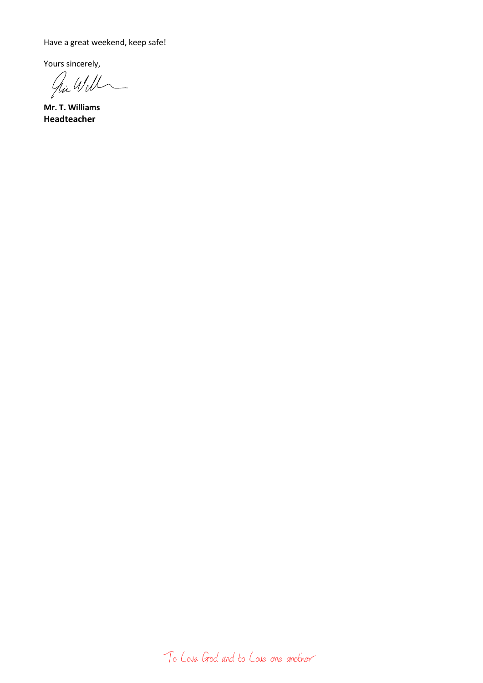Have a great weekend, keep safe!

Yours sincerely,<br> $\hat{U}$ 

**Mr. T. Williams Headteacher**

To Love God and to Love one another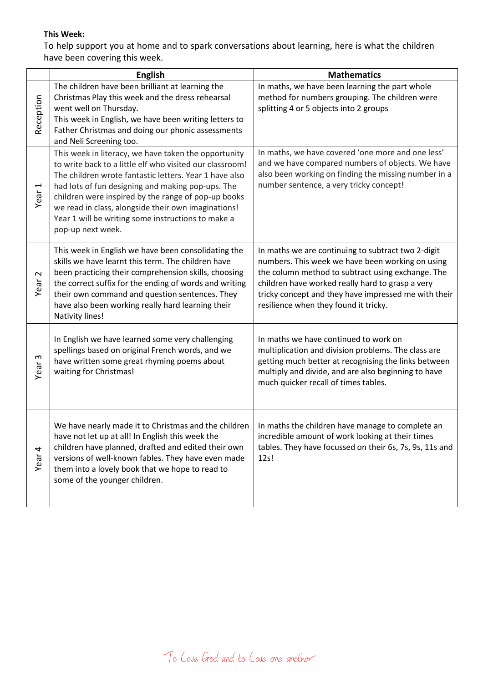# **This Week:**

To help support you at home and to spark conversations about learning, here is what the children have been covering this week.

|                                  | <b>English</b>                                                                                                                                                                                                                                                                                                                                                                                                           | <b>Mathematics</b>                                                                                                                                                                                                                                                                                               |
|----------------------------------|--------------------------------------------------------------------------------------------------------------------------------------------------------------------------------------------------------------------------------------------------------------------------------------------------------------------------------------------------------------------------------------------------------------------------|------------------------------------------------------------------------------------------------------------------------------------------------------------------------------------------------------------------------------------------------------------------------------------------------------------------|
| Reception                        | The children have been brilliant at learning the<br>Christmas Play this week and the dress rehearsal<br>went well on Thursday.<br>This week in English, we have been writing letters to<br>Father Christmas and doing our phonic assessments<br>and Neli Screening too.                                                                                                                                                  | In maths, we have been learning the part whole<br>method for numbers grouping. The children were<br>splitting 4 or 5 objects into 2 groups                                                                                                                                                                       |
| $\overline{\phantom{0}}$<br>Year | This week in literacy, we have taken the opportunity<br>to write back to a little elf who visited our classroom!<br>The children wrote fantastic letters. Year 1 have also<br>had lots of fun designing and making pop-ups. The<br>children were inspired by the range of pop-up books<br>we read in class, alongside their own imaginations!<br>Year 1 will be writing some instructions to make a<br>pop-up next week. | In maths, we have covered 'one more and one less'<br>and we have compared numbers of objects. We have<br>also been working on finding the missing number in a<br>number sentence, a very tricky concept!                                                                                                         |
| $\boldsymbol{\sim}$<br>Year      | This week in English we have been consolidating the<br>skills we have learnt this term. The children have<br>been practicing their comprehension skills, choosing<br>the correct suffix for the ending of words and writing<br>their own command and question sentences. They<br>have also been working really hard learning their<br>Nativity lines!                                                                    | In maths we are continuing to subtract two 2-digit<br>numbers. This week we have been working on using<br>the column method to subtract using exchange. The<br>children have worked really hard to grasp a very<br>tricky concept and they have impressed me with their<br>resilience when they found it tricky. |
| S<br>Year                        | In English we have learned some very challenging<br>spellings based on original French words, and we<br>have written some great rhyming poems about<br>waiting for Christmas!                                                                                                                                                                                                                                            | In maths we have continued to work on<br>multiplication and division problems. The class are<br>getting much better at recognising the links between<br>multiply and divide, and are also beginning to have<br>much quicker recall of times tables.                                                              |
| Year <sub>4</sub>                | We have nearly made it to Christmas and the children<br>have not let up at all! In English this week the<br>children have planned, drafted and edited their own<br>versions of well-known fables. They have even made<br>them into a lovely book that we hope to read to<br>some of the younger children.                                                                                                                | In maths the children have manage to complete an<br>incredible amount of work looking at their times<br>tables. They have focussed on their 6s, 7s, 9s, 11s and<br>12s!                                                                                                                                          |

To Love God and to Love one another